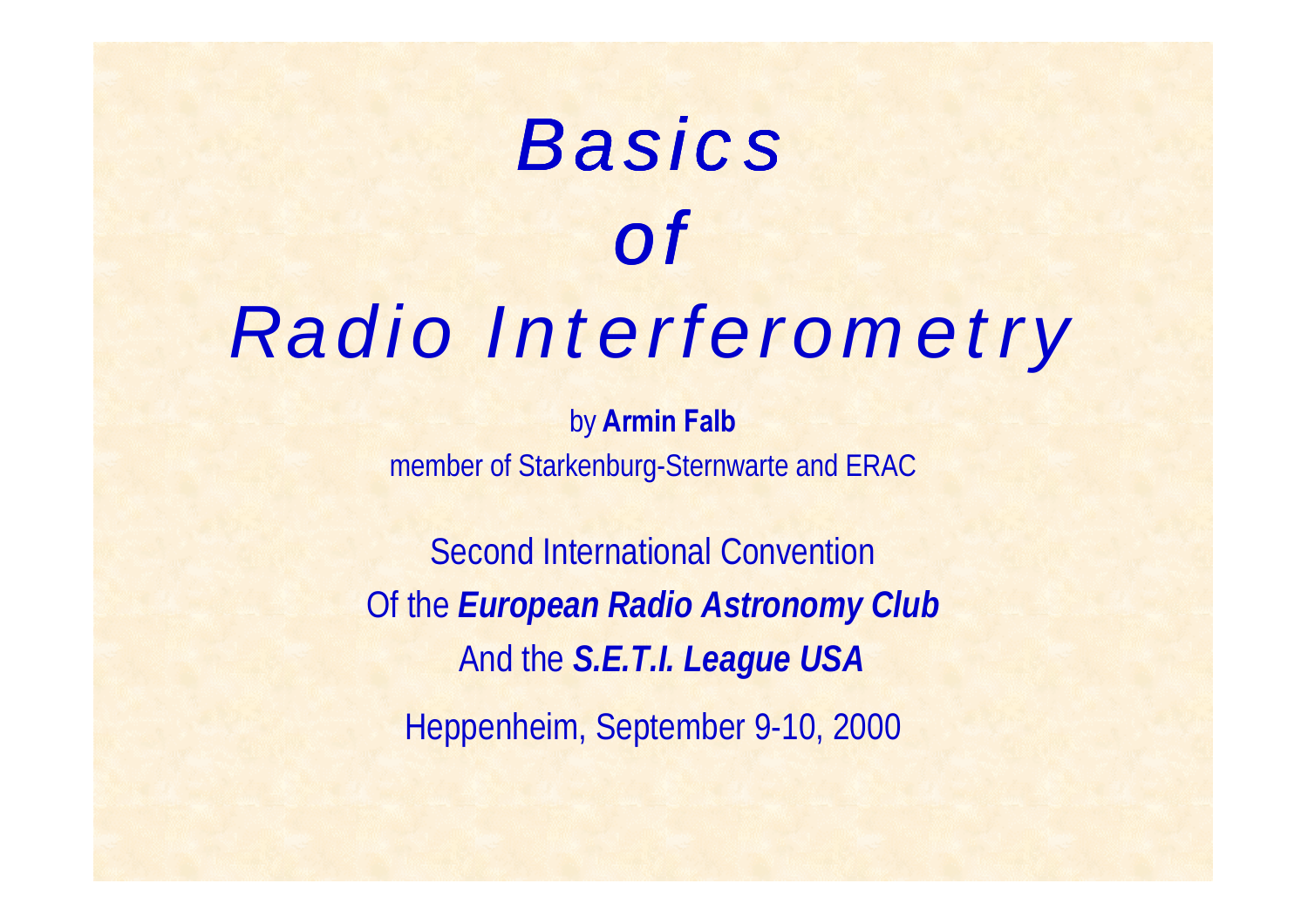# *Basics of Radio Interferometry*

by **Armin Falb** member of Starkenburg-Sternwarte and ERAC

Second International Convention Of the *European Radio Astronomy Club* And the *S.E.T.I. League USA* Heppenheim, September 9-10, 2000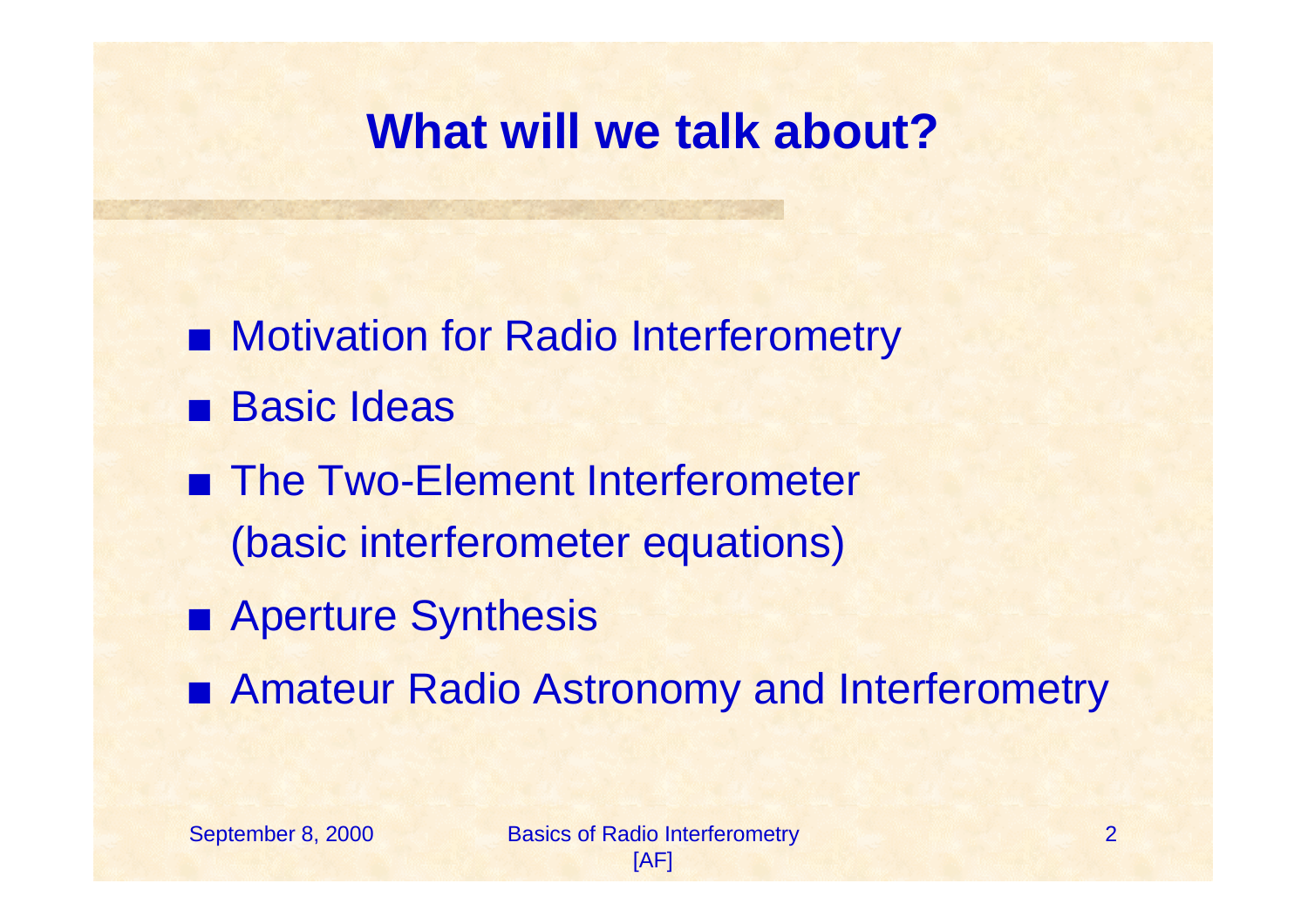#### **What will we talk about?**

- **EXECUTE: Motivation for Radio Interferometry Basic Ideas** ■ The Two-Element Interferometer (basic interferometer equations)
- Aperture Synthesis
- Amateur Radio Astronomy and Interferometry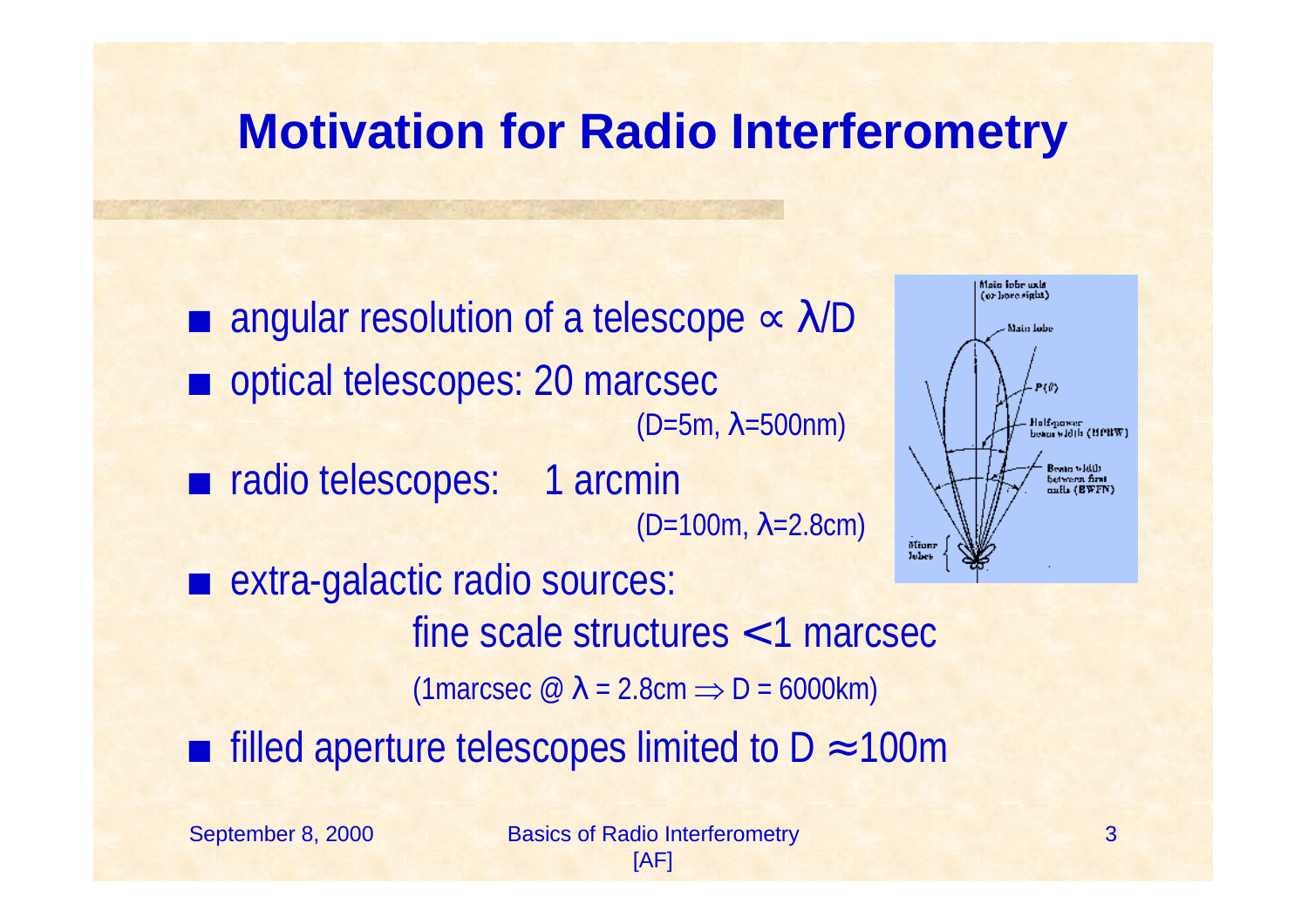#### **Motivation for Radio Interferometry**

 $\blacksquare$  angular resolution of a telescope  $\propto \lambda/D$ optical telescopes: 20 marcsec (D=5m, λ=500nm) ■ radio telescopes: 1 arcmin (D=100m, λ=2.8cm) Miunz Johnt ■ extra-galactic radio sources: fine scale structures < 1 marcsec (1marcsec  $\oslash \lambda$  = 2.8cm  $\Rightarrow$  D = 6000km)  $\blacksquare$  filled aperture telescopes limited to D ≈ 100m

September 8, 2000 Basics of Radio Interferometry

3

Maio Jobe uxla (or hore sight)

Main Jobs

**Jolf-power** sin vidib (HPBW)

Beam width between first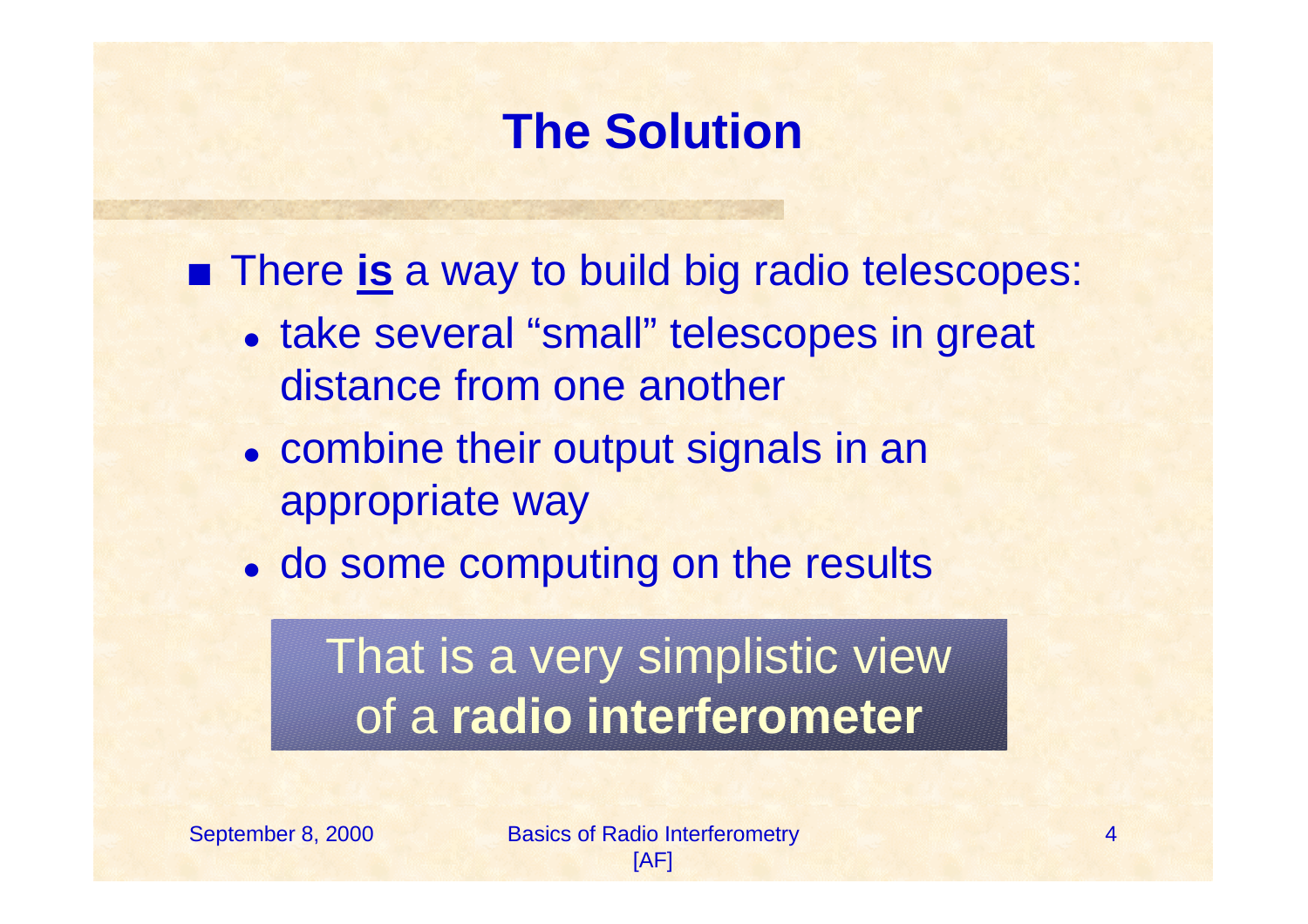## **The Solution**

**Fig. 4** There **is** a way to build big radio telescopes:

- take several "small" telescopes in great distance from one another
- combine their output signals in an appropriate way
- do some computing on the results

# That is a very simplistic view of a **radio interferometer**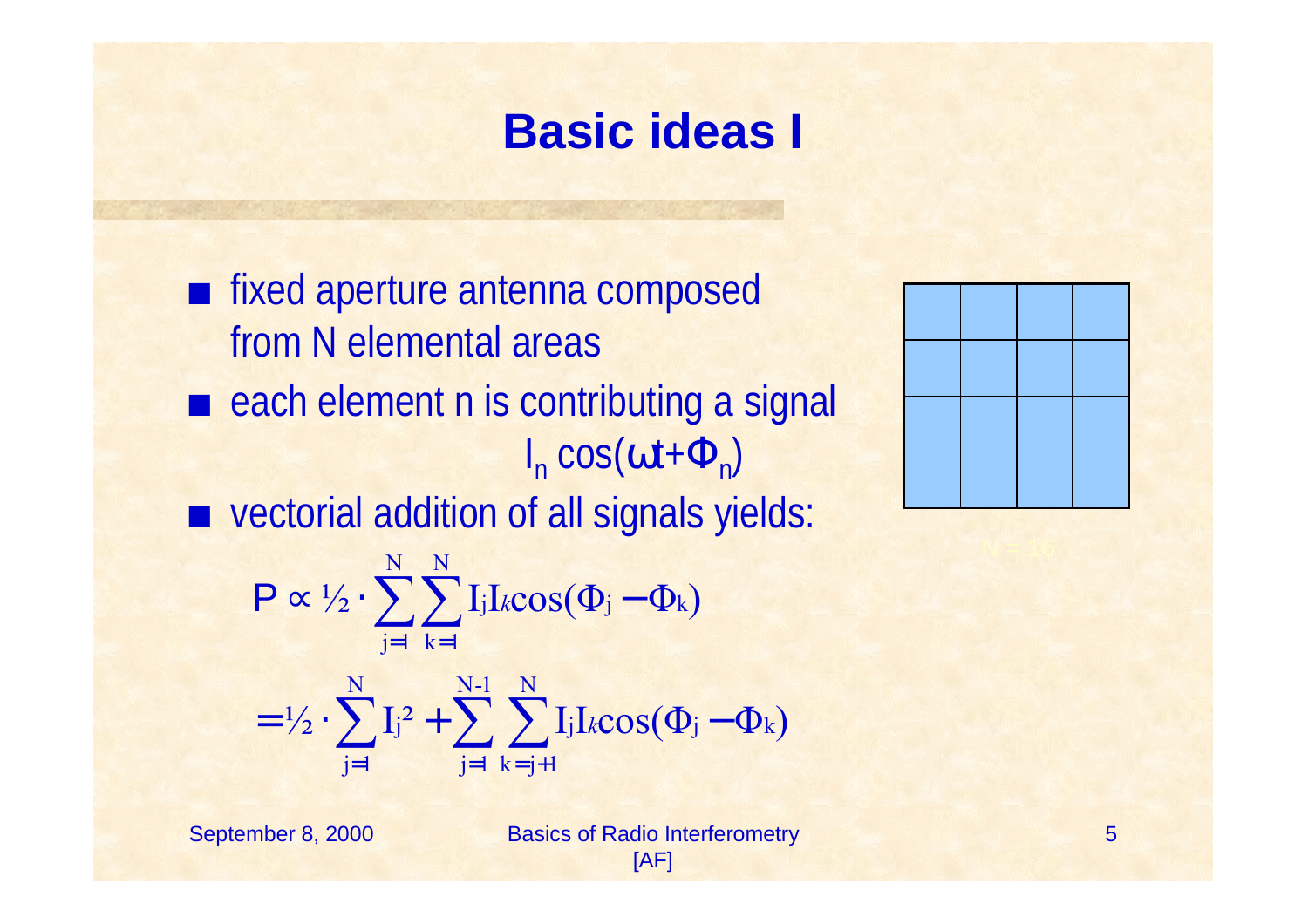#### **Basic ideas I**

■ fixed aperture antenna composed from N elemental areas  $\blacksquare$  each element n is contributing a signal  $I_n$  cos(ωt+ $\Phi_n$ )  $\blacksquare$  vectorial addition of all signals yields:  $\frac{1}{2}$   $\cdot$   $\frac{1}{1}$   $\frac{2}{1}$  $^{2}$  + >  $\bigcup$  I<sub>j</sub>I<sub>k</sub>cos( $\Phi$ <sub>j</sub> -  $\Phi$ <sub>k</sub>)  $\frac{1}{2} \cdot \sum_i \int_i$  I<sub>j</sub>I<sub>k</sub>cos( $\Phi_i - \Phi_k$ ) N-1 j=1 N  $k = j + 1$ j N j=1  $= \frac{1}{2} \cdot \sum_{j}$   $j^{2} + \sum_{k}$   $\sum_{j}$   $l_{jk} \cos(\Phi_{j} -$ N N j=1 k=1  $\propto \gamma_2 \cdot \gamma$   $\int$  lj1kCOS( $\Psi$ j –  $\sum$   $Ij^2$  +  $\sum$   $\sum$  $P \propto \frac{1}{2} \cdot \sum \sum I_j I_k$ = = + <sup>=</sup> *k*



September 8, 2000 Basics of Radio Interferometry [AF]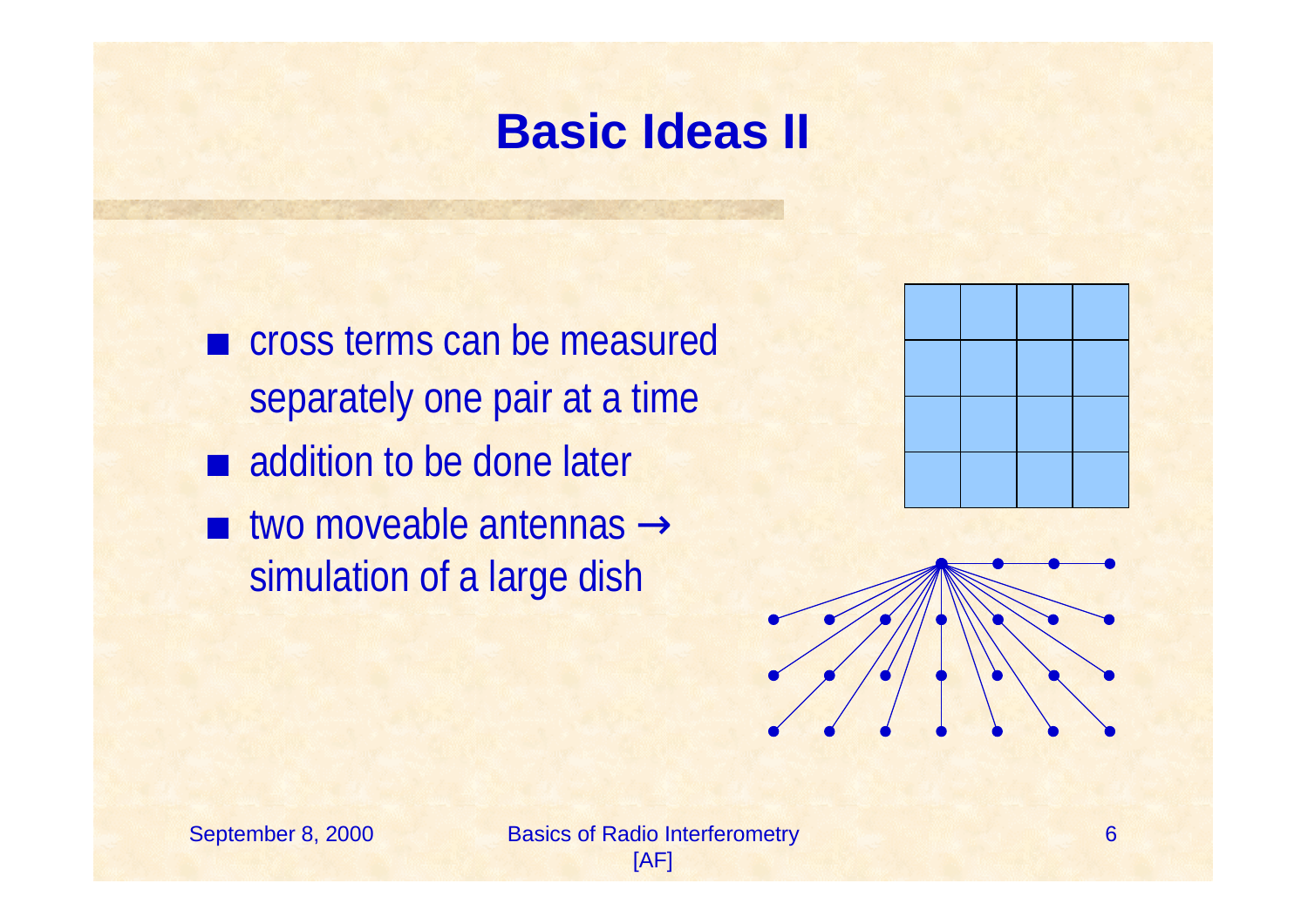### **Basic Ideas II**

 $\blacksquare$  cross terms can be measured separately one pair at a time  $\blacksquare$  addition to be done later  $\blacksquare$  two moveable antennas  $\rightarrow$ simulation of a large dish



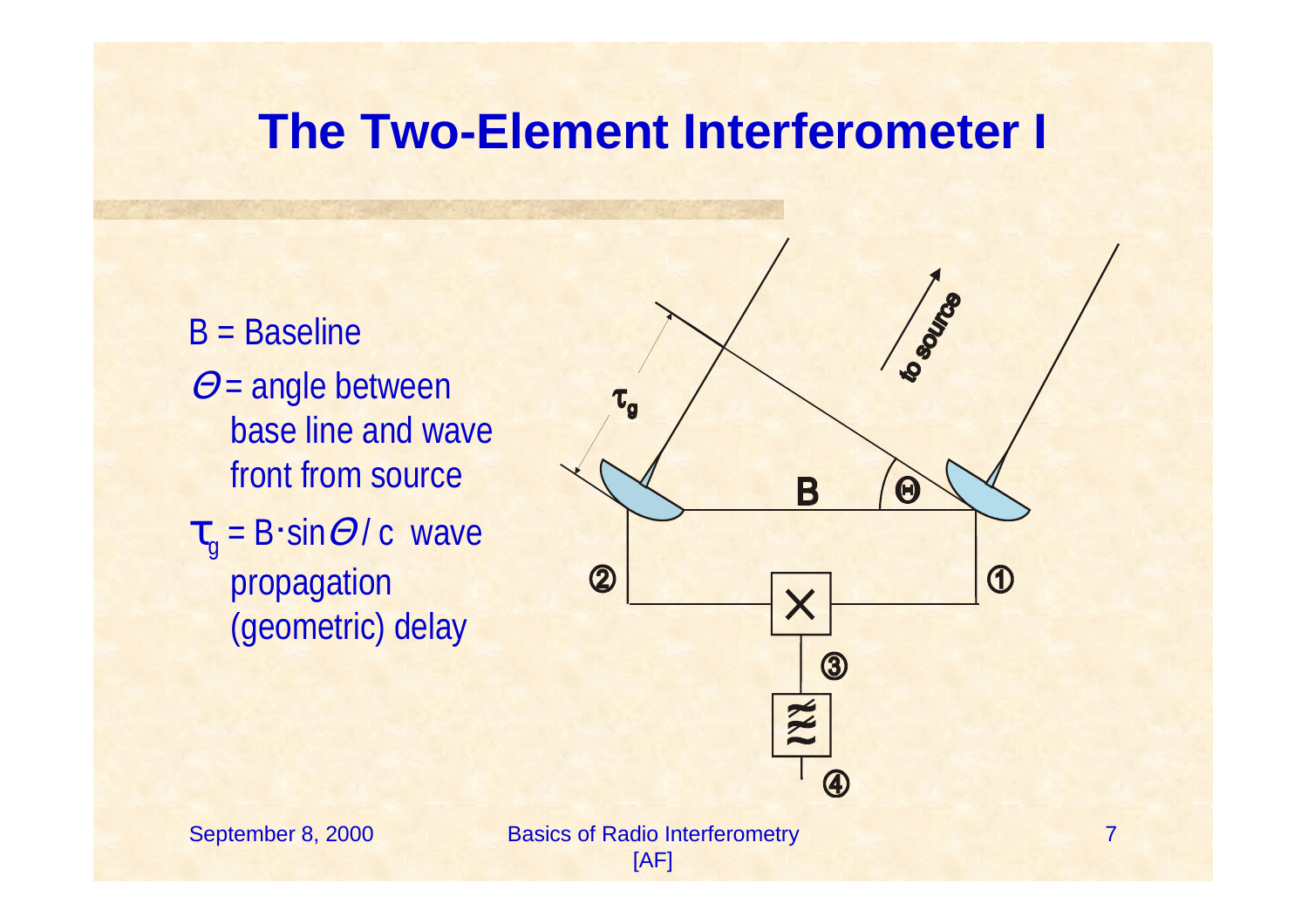#### **The Two-Element Interferometer I**

- B = Baseline  $\Theta$  = angle between base line and wave front from source  $\tau_{\text{g}}$  = B·sin $\varTheta$ / c wave
	- propagation (geometric) delay



September 8, 2000 Basics of Radio Interferometry [AF]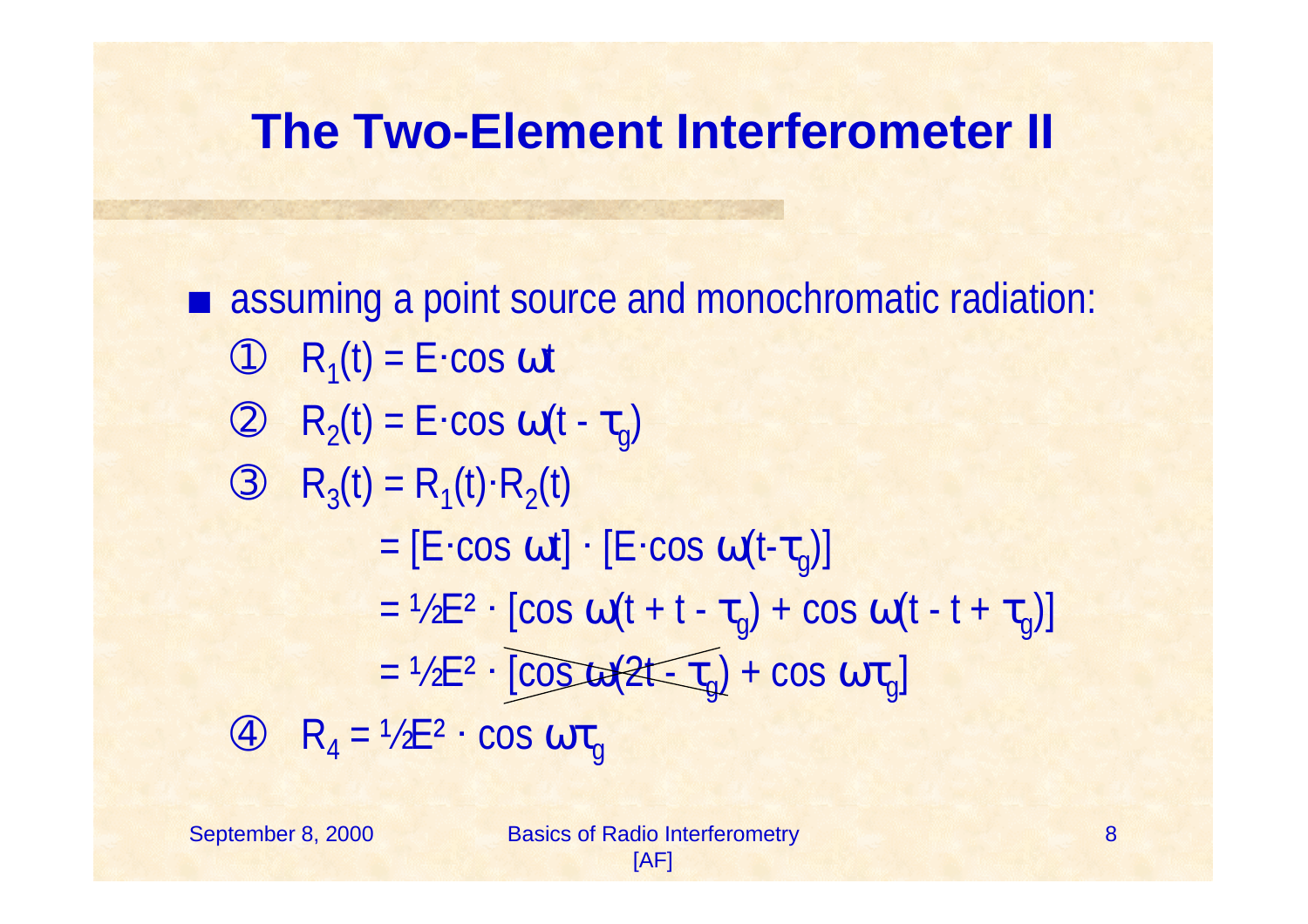#### **The Two-Element Interferometer II**

■ assuming a point source and monochromatic radiation:  $\odot$  R<sub>1</sub>(t) = E·cos ot  $\circledcirc$  R<sub>2</sub>(t) = E·cos  $\omega(t - \tau_g)$ 3  $R_3(t) = R_1(t) \cdot R_2(t)$ = [E·cos ωt] · [E·cos ω(t-τ<sub>g</sub>)] = ½E<sup>2</sup> · [cos ω(t + t -  $\tau_g$ ) + cos ω(t - t +  $\tau_g$ )]  $= \frac{1}{2}E^2 \cdot [\cos \omega(2t-\tau_g) + \cos \omega \tau_g]$  $\circled{4}$   $R_4 = \frac{1}{2}E^2$  · cos  $\omega \tau_g$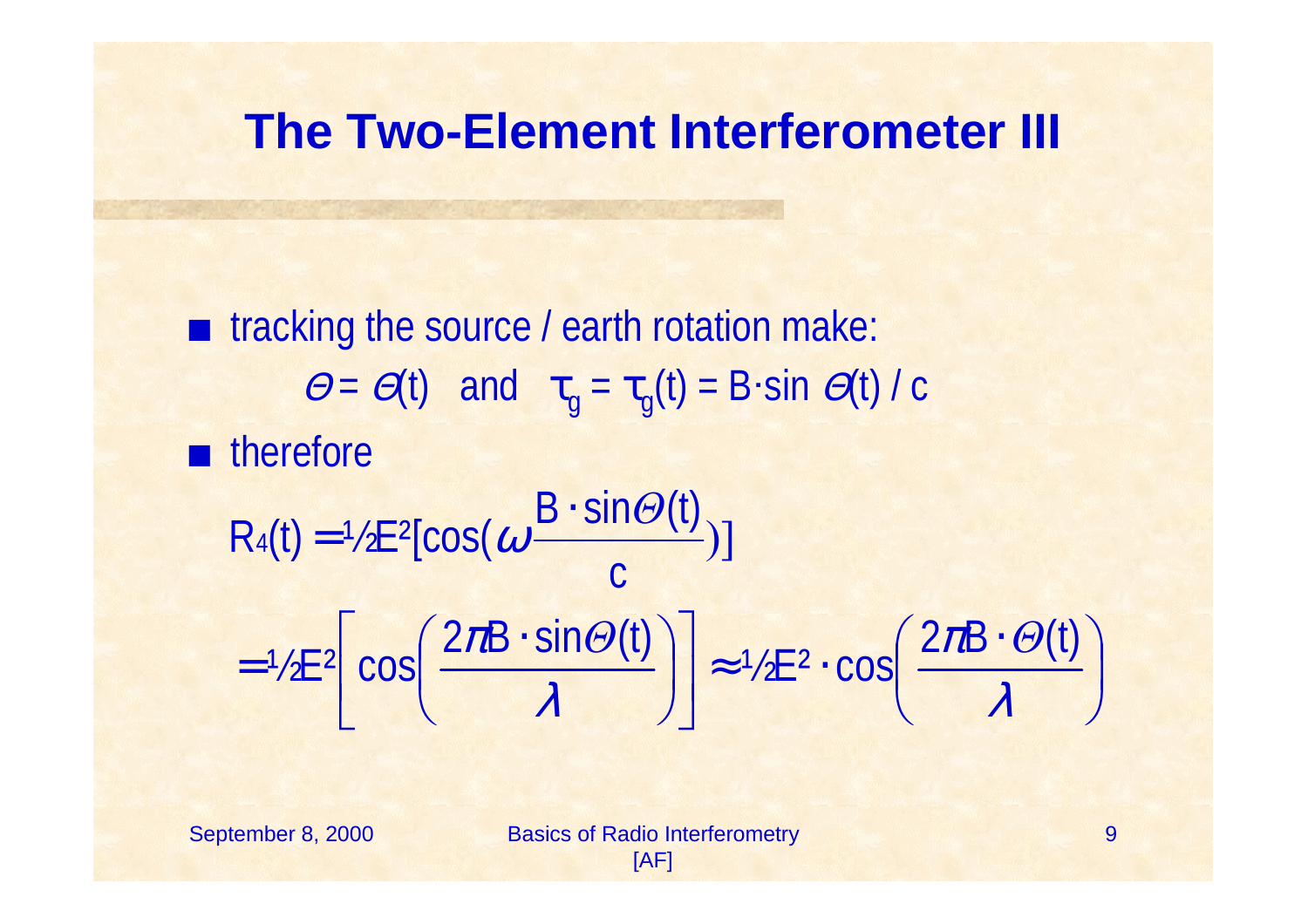#### **The Two-Element Interferometer III**

 $\blacksquare$  tracking the source / earth rotation make:  $\Theta = \Theta(t)$  and  $\tau_g = \tau_g(t) = B \cdot \sin \Theta(t) / c$  $\blacksquare$  therefore )] c  $B \cdot \textsf{sin} \varTheta(t)$  $R_4(t) = \frac{1}{2}E^2[cos(\omega \frac{B \cdot sin\omega}{2})$  $=$  1/2  $\mathsf{L}$  4 COS(  $\omega$  $\left(\frac{2\pi B\cdot\Theta(t)}{2}\right)$  $\setminus$  $(2\pi B \cdot$  $\vert \approx \sqrt{2}E^2$  $\overline{\phantom{a}}$  $\left[\cos\left(\frac{2\pi B\cdot\sin\Theta(t)}{2}\right)\right]$  $\overline{\phantom{a}}$  $\cos \left( \frac{2 \pi B \cdot \sin \Theta(t)}{2} \right)$  $\int$  $\left(\frac{2\pi B\cdot\sin\Theta(t)}{2}\right)$  $\setminus$  $(2\pi B \cdot$  $=$  72E<sup>2</sup> COS  $\left| \frac{1}{\lambda} \right| = \frac{1}{\lambda}$  $J\!U$  $\lambda$  $\sqrt{2\pi B \cdot \sin \Theta(t)}$   $\approx \sqrt{2E^2 \cdot \cos \left( \frac{2\pi B \cdot \Theta(t)}{2\pi B \cdot \Theta(t)} \right)}$ 

September 8, 2000 Basics of Radio Interferometry [AF]

 $\int$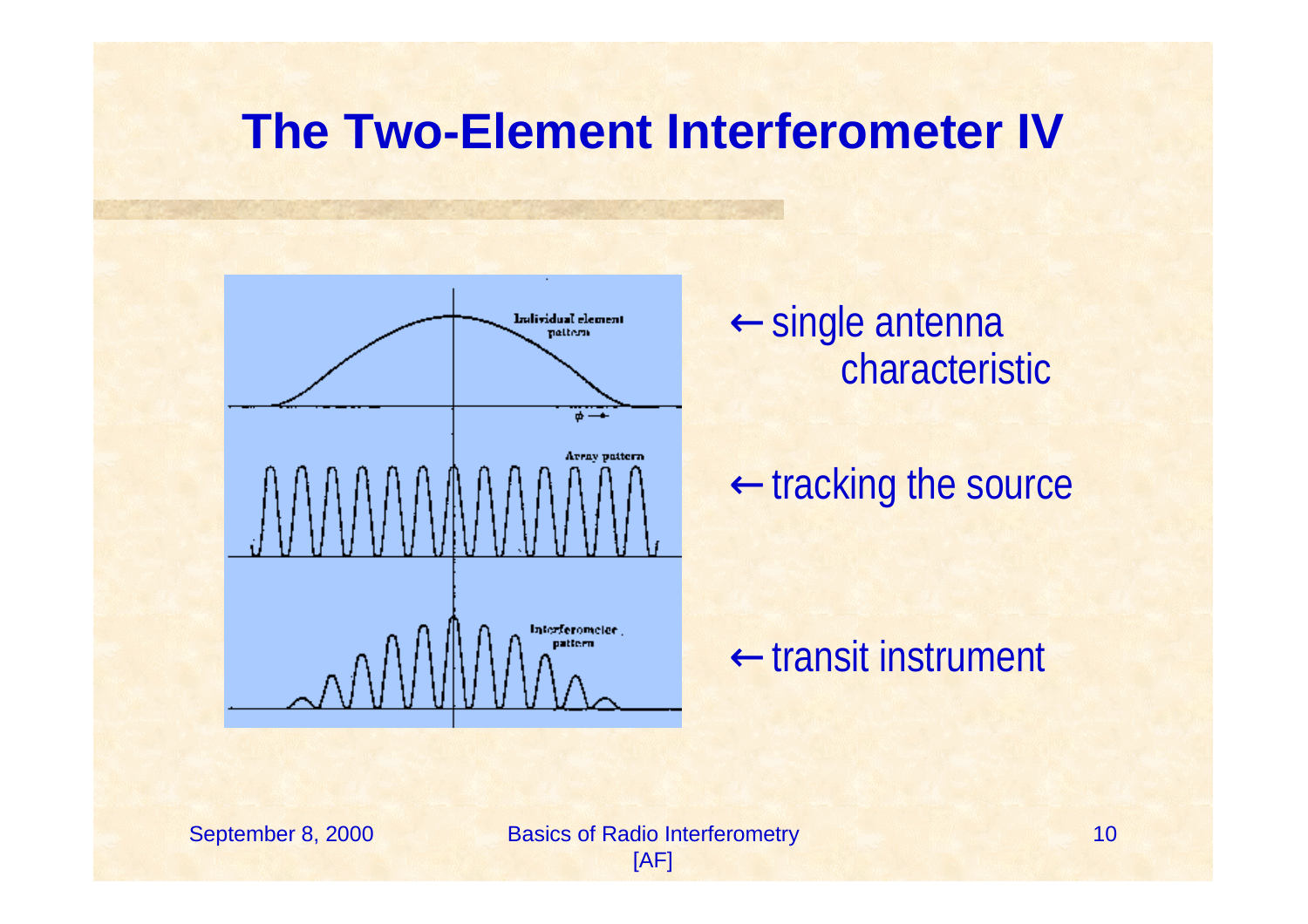#### **The Two-Element Interferometer IV**



<sup>←</sup>single antenna characteristic

←tracking the source

←transit instrument

September 8, 2000 Basics of Radio Interferometry [AF]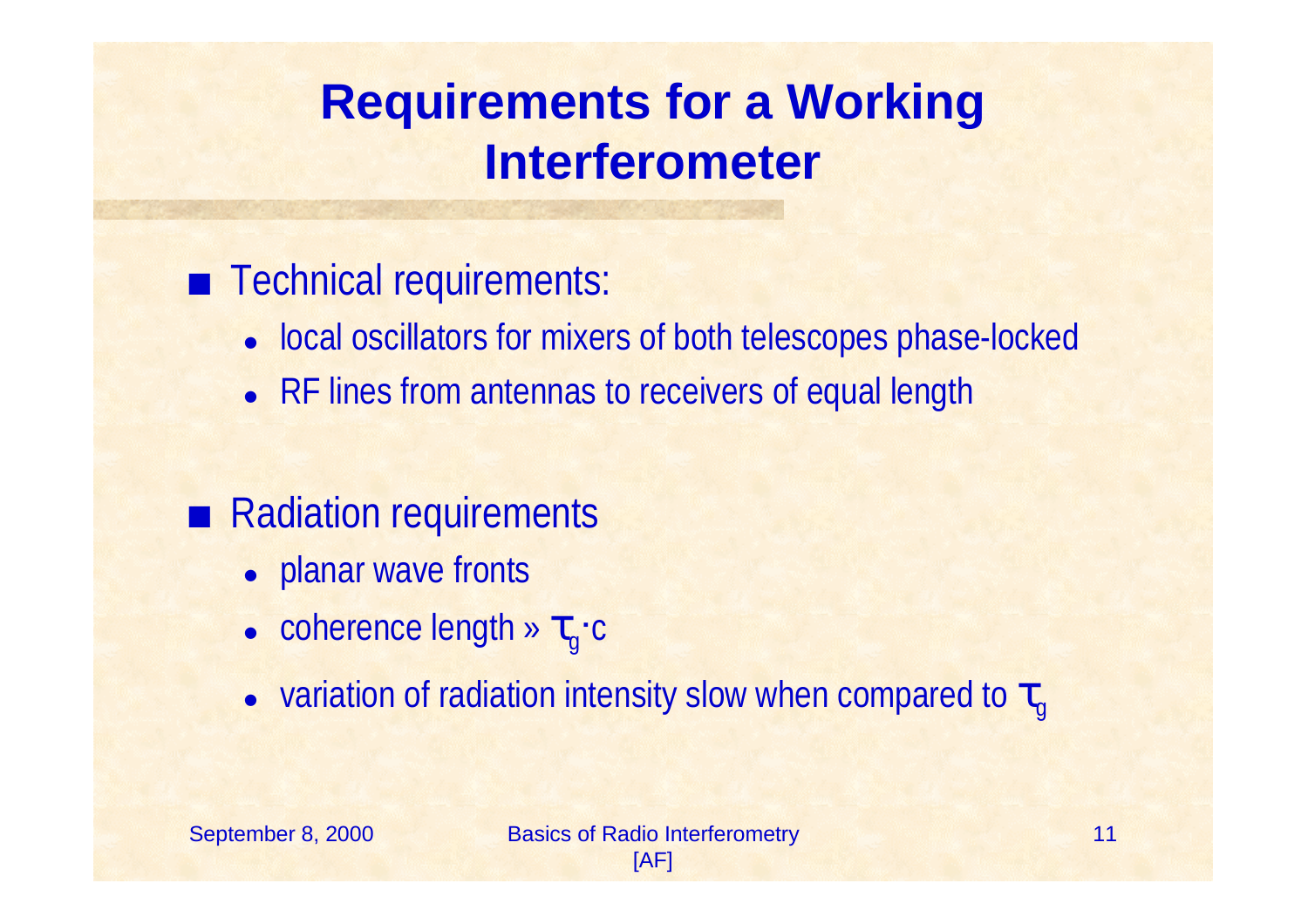# **Requirements for a Working Interferometer**

#### **EXECUTE:** Technical requirements:

- local oscillators for mixers of both telescopes phase-locked
- RF lines from antennas to receivers of equal length

#### • Radiation requirements

- planar wave fronts
- $\bullet$  coherence length »  $\tau_{\scriptscriptstyle{g}}\text{-c}$
- $\bullet~$  variation of radiation intensity slow when compared to  $\tau$ g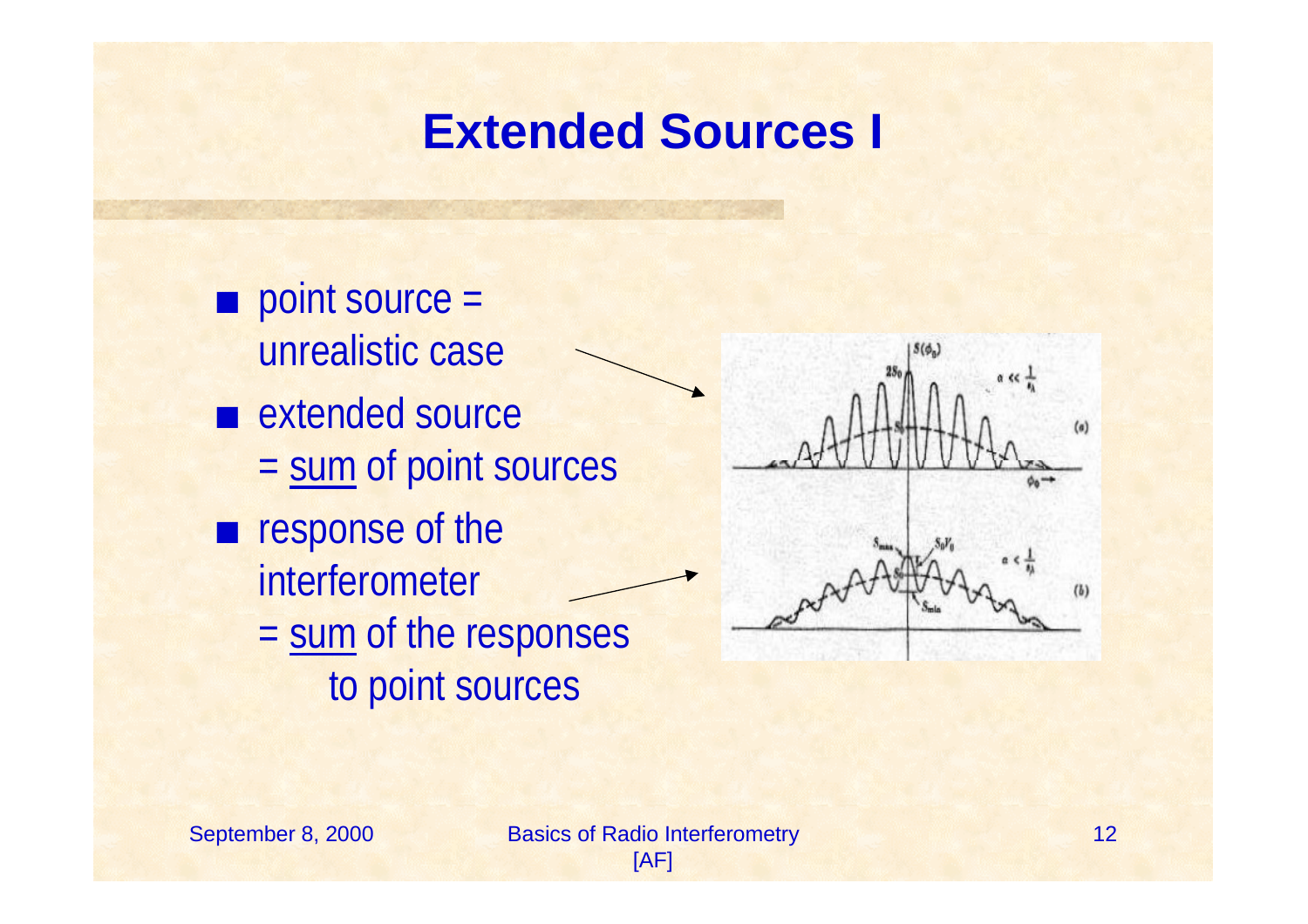#### **Extended Sources I**

 $\blacksquare$  point source = unrealistic case  $\blacksquare$  extended source = sum of point sources  $\blacksquare$  response of the interferometer = sum of the responses to point sources

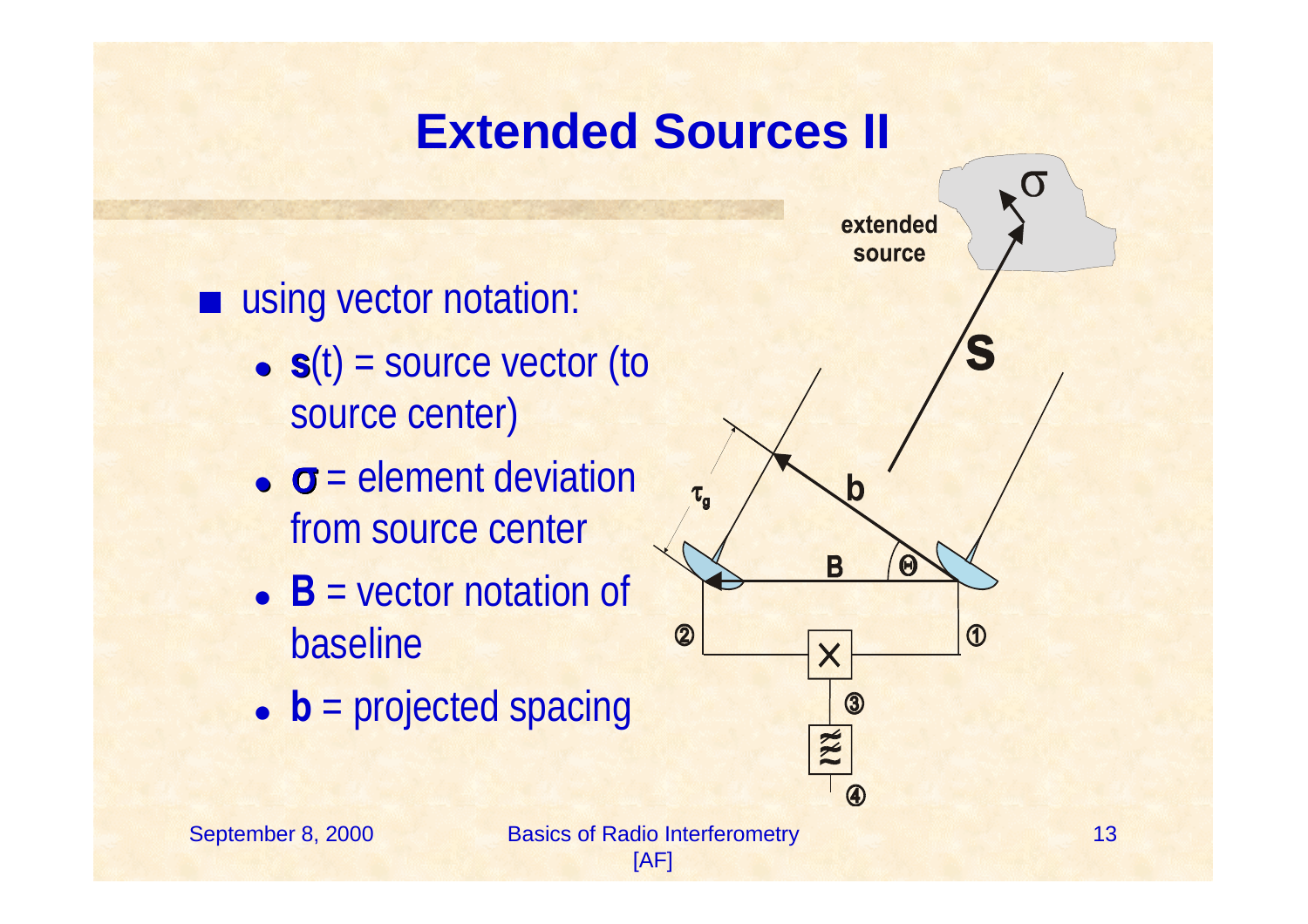# **Extended Sources II**

using vector notation:

- $\bullet$   $\mathbf{s}(t)$  = source vector (to source center)
- $\bullet$   $\sigma$  = element deviation from source center
- $\bullet$  **B** = vector notation of baseline
- **b** = projected spacing

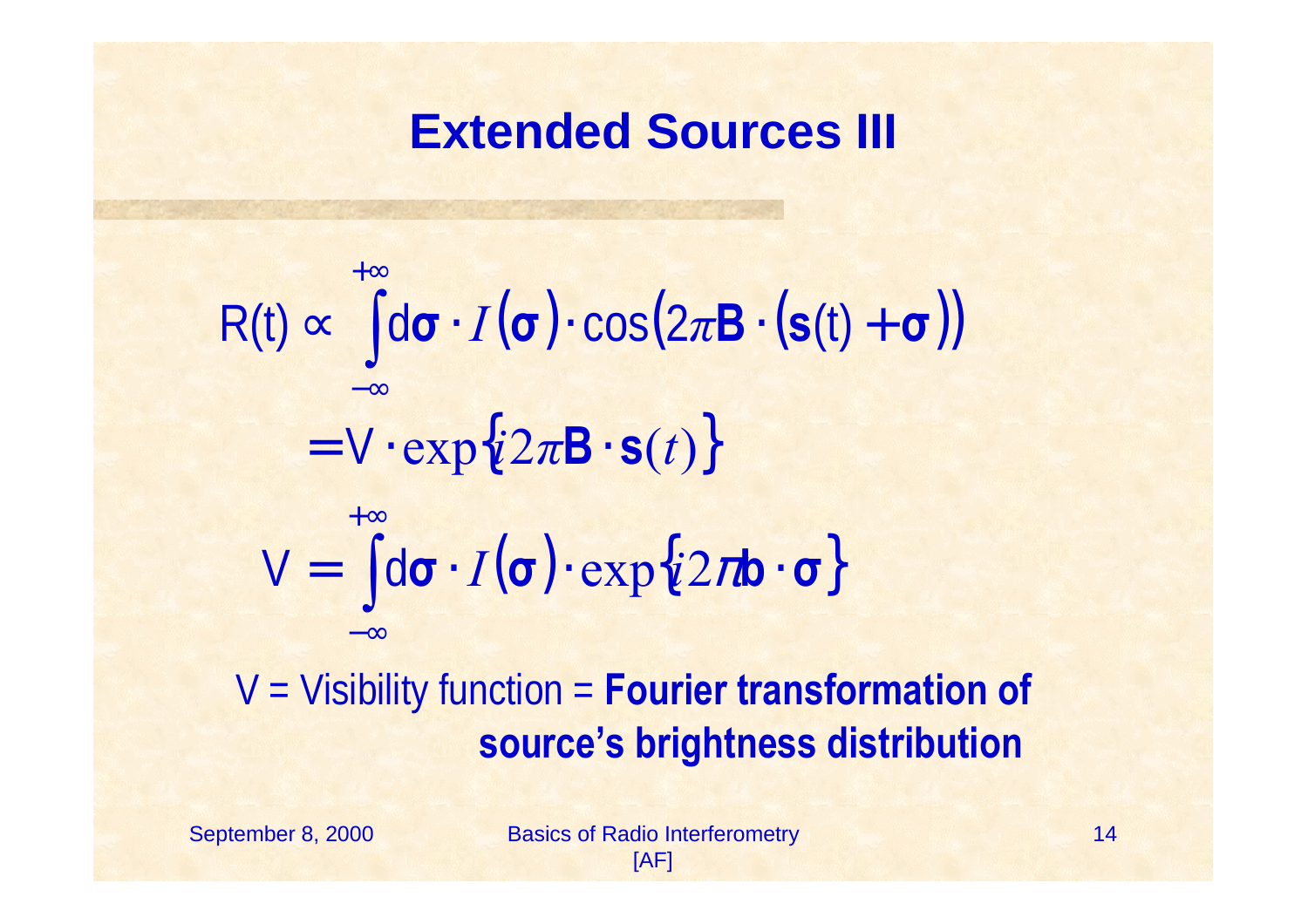#### **Extended Sources III**

V = Visibility function = **Fourier transformation of**   $\propto$   $\left[\mathrm{d}\sigma \cdot I(\sigma) \cdot \cos(2\pi \mathbf{B} \cdot (\mathbf{s}(t) + \sigma))\right]$  $= V \cdot \exp\{i2\pi \mathbf{B} \cdot \mathbf{s}(t)\}\$  $= \left[ d\sigma \cdot I(\sigma) \cdot \exp\{i2\pi b \cdot \sigma\} \right]$ ∫ ∫ + ∞−∞+∞ −∞ $V = |d\sigma \cdot I(\sigma) \cdot exp\{i2\pi\}$  $R(t) \propto \int d\sigma \cdot I(\sigma) \cdot \cos(2\pi B \cdot (s(t)))$ 

#### **source's brightness distribution**

September 8, 2000 Basics of Radio Interferometry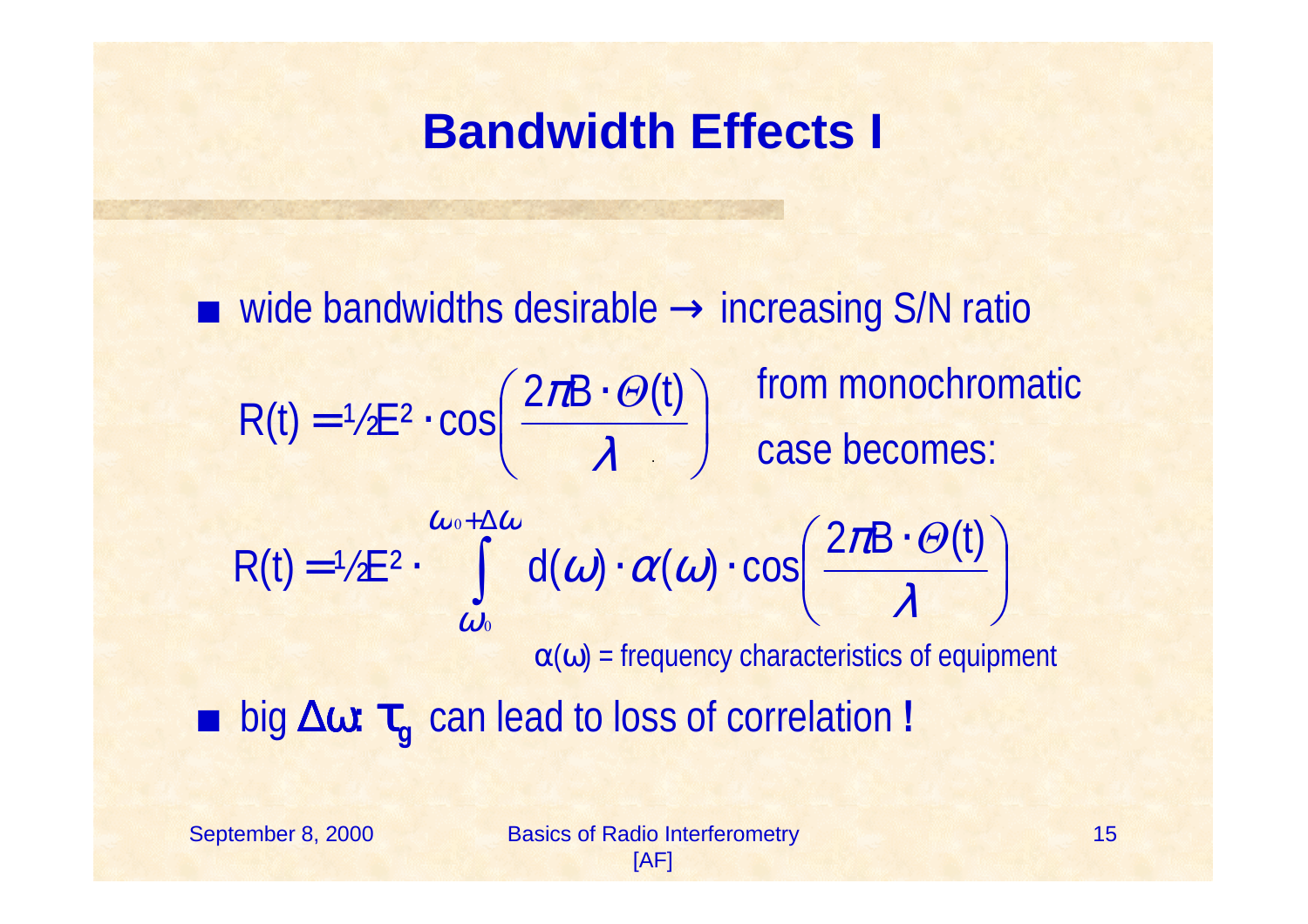#### **Bandwidth Effects I**

 $\blacksquare$  wide bandwidths desirable  $\rightarrow$  increasing S/N ratio from monochromatic case becomes:  $\alpha(\omega)$  = frequency characteristics of equipment <sup>+</sup> big ∆ω**:**  τ **<sup>g</sup>** can lead to loss of correlation **!**  $\int$  $\left(\frac{2\pi B\cdot\Theta(t)}{2}\right)$  $\setminus$  $(2\pi B \cdot$  $= 72E^2 \cdot CO_2 \left( \frac{\lambda}{\lambda} \right)$  $R(t) = \frac{1}{2} E^2 \cdot \cos \left( \frac{2\pi B \cdot \Theta(t)}{2} \right)$ ∫  $+\Delta$   $\int$  $\left(\frac{2\pi B\cdot\Theta(t)}{2}\right)$  $\setminus$  $(2\pi B \cdot$  $=$   $72E^{\prime}$   $\cdot$   $\cdot$   $\cdot$   $U(U)$   $\cdot$   $U(U)$   $\cdot$  $\omega_{0} + \Delta \omega$ ω  $\lambda$  ${\pi}$  $\omega \cdot \alpha \omega$ 0 0  $R(t) = \frac{\omega_{0+2}\omega}{2E^2}$  d( $\omega$ )  $\alpha(\omega)$  cos  $\frac{2\pi B \cdot \Theta(t)}{2E^2}$ *Θ*

September 8, 2000 Basics of Radio Interferometry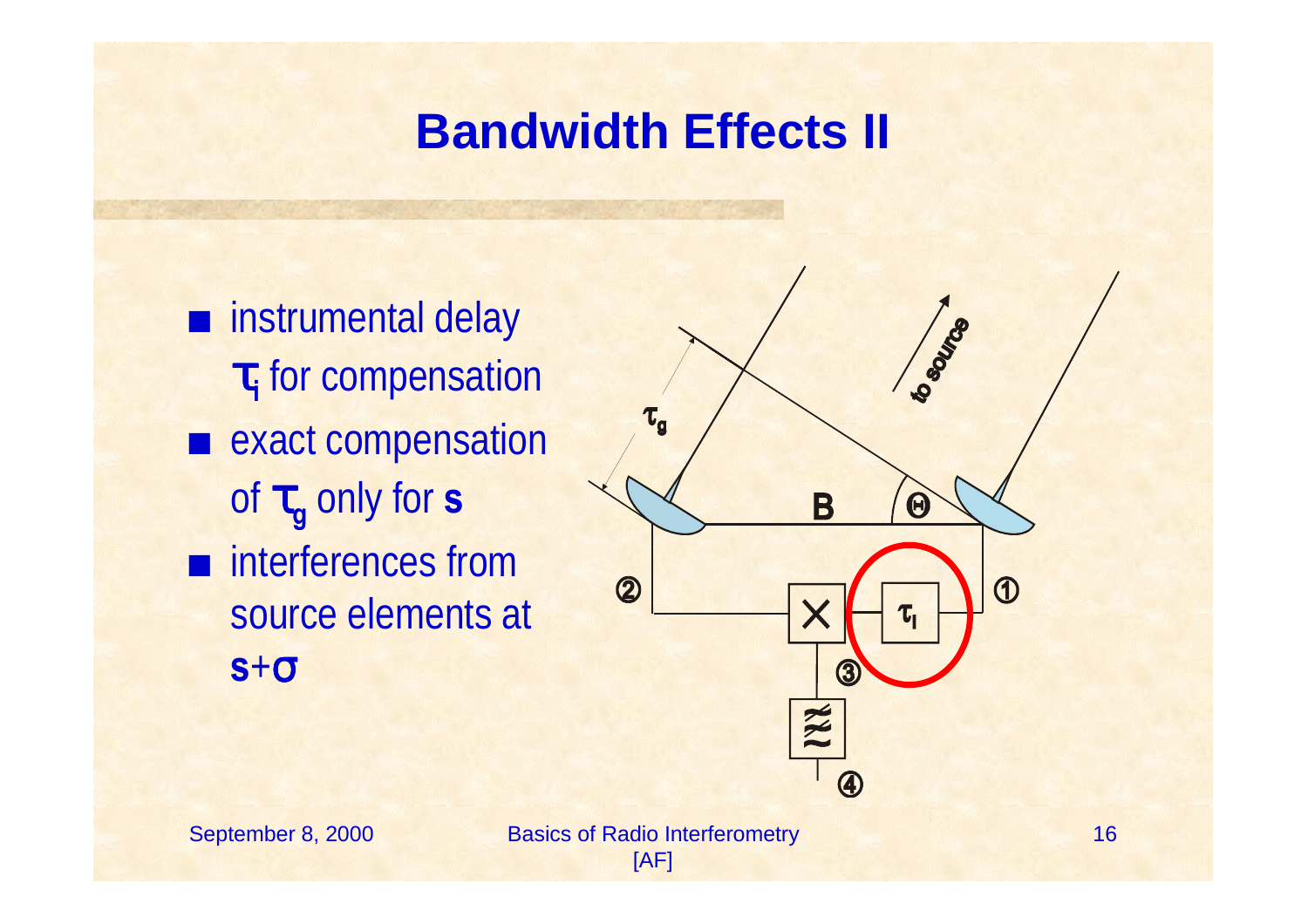#### **Bandwidth Effects II**

 $\blacksquare$  instrumental delay <sup>τ</sup>**<sup>i</sup>** for compensation **E** exact compensation of τ **<sup>g</sup>** only for **s**  $\blacksquare$  interferences from source elements at **s** +σ



September 8, 2000 Basics of Radio Interferometry [AF]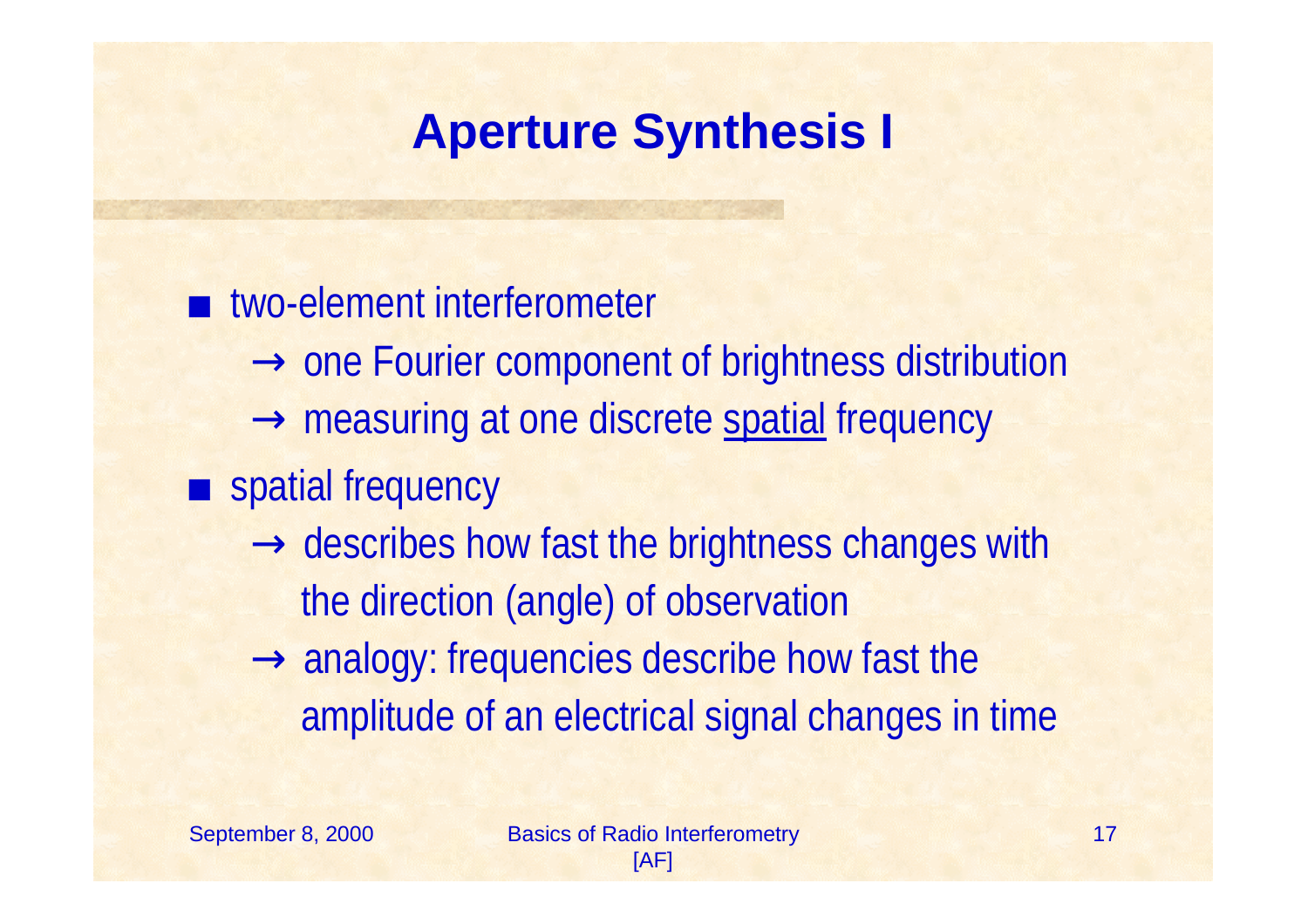# **Aperture Synthesis I**

 $\blacksquare$  two-element interferometer  $\rightarrow$  one Fourier component of brightness distribution  $\rightarrow$  measuring at one discrete spatial frequency **Exercise Spatial frequency**  $\rightarrow$  describes how fast the brightness changes with the direction (angle) of observation  $\rightarrow$  analogy: frequencies describe how fast the amplitude of an electrical signal changes in time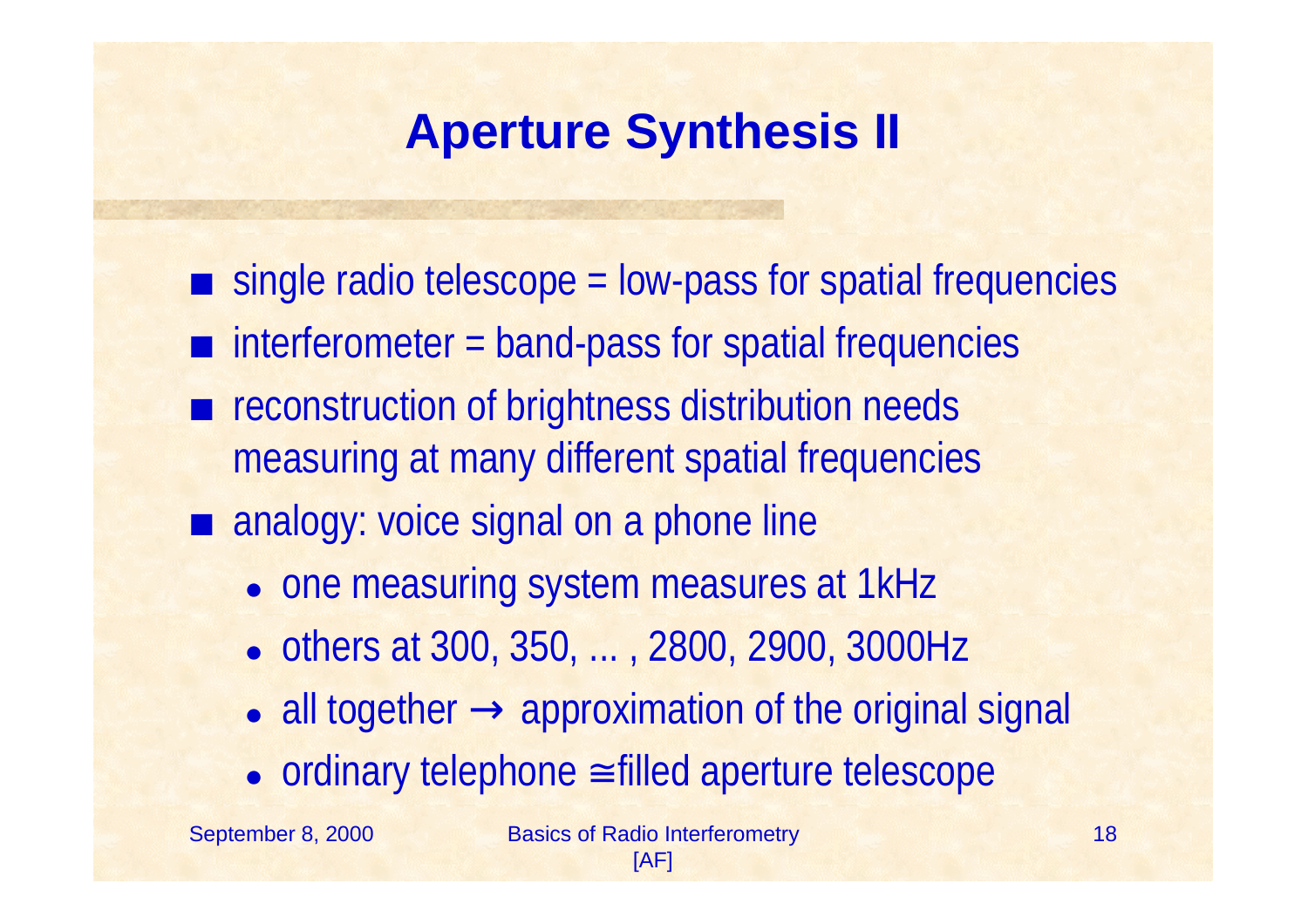# **Aperture Synthesis II**

- $\blacksquare$  single radio telescope = low-pass for spatial frequencies
- $\blacksquare$  interferometer = band-pass for spatial frequencies
- **EX reconstruction of brightness distribution needs** measuring at many different spatial frequencies  $\blacksquare$  analogy: voice signal on a phone line
	- one measuring system measures at 1kHz
	- ! others at 300, 350, ... , 2800, 2900, 3000Hz
	- all together  $\rightarrow$  approximation of the original signal
	- ordinary telephone ≅ filled aperture telescope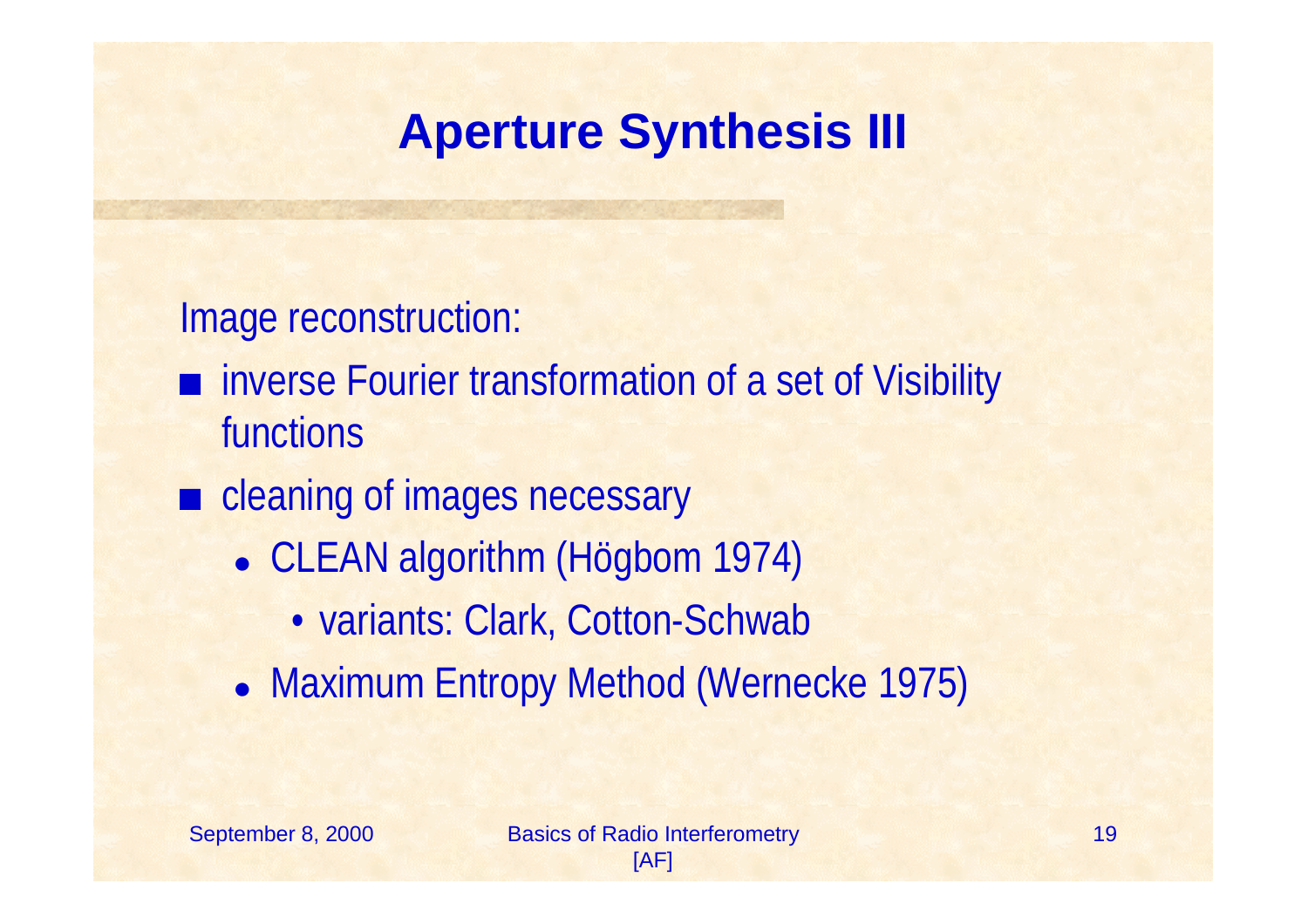# **Aperture Synthesis III**

Image reconstruction:

- inverse Fourier transformation of a set of Visibility functions
- **Exercise 2 cleaning of images necessary** 
	- CLEAN algorithm (Högbom 1974)
		- variants: Clark, Cotton-Schwab
	- Maximum Entropy Method (Wernecke 1975)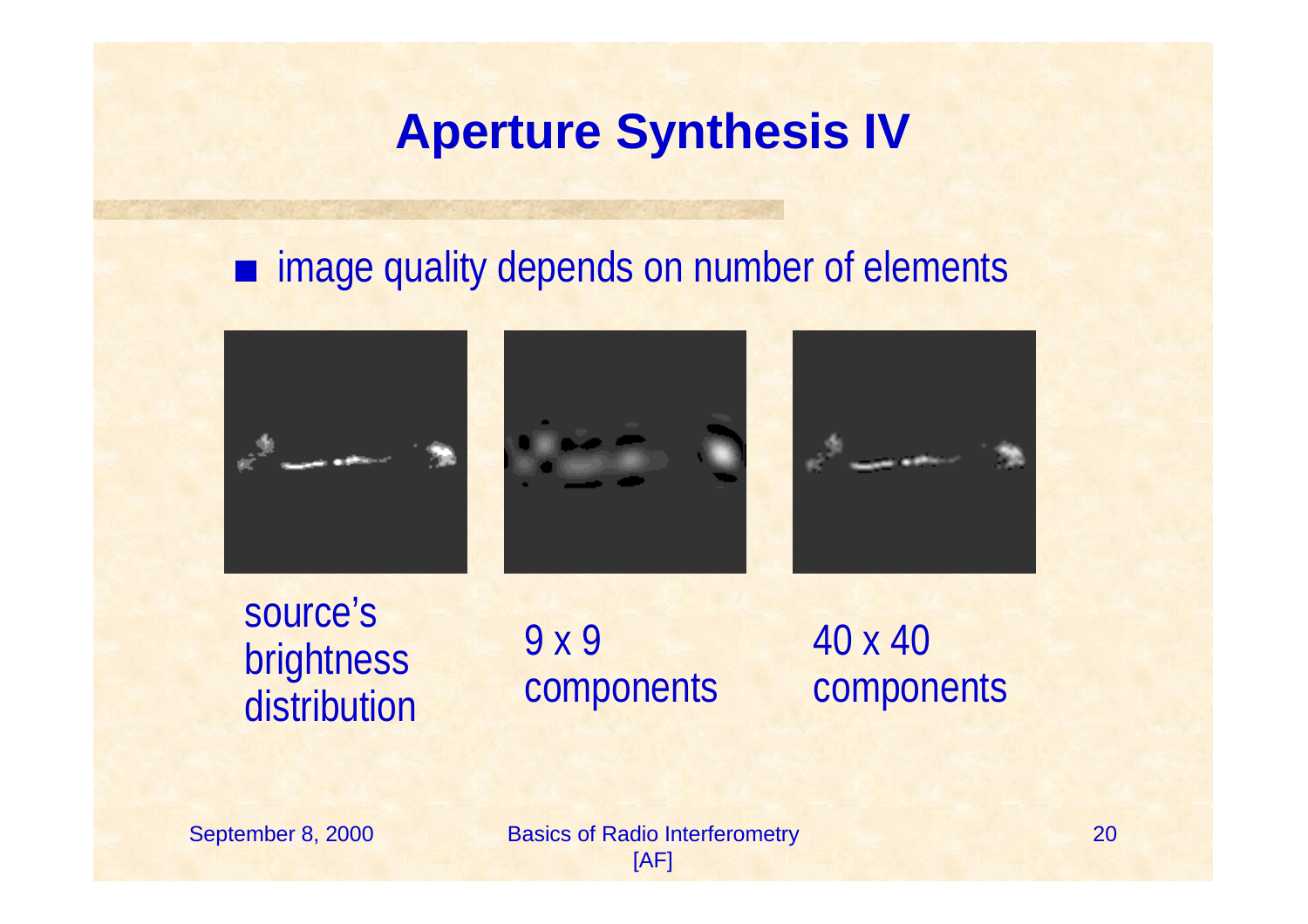#### **Aperture Synthesis IV**

#### $\blacksquare$  image quality depends on number of elements



source's brightness distribution

9 x 9 components

40 x 40 components

September 8, 2000 Basics of Radio Interferometry [AF]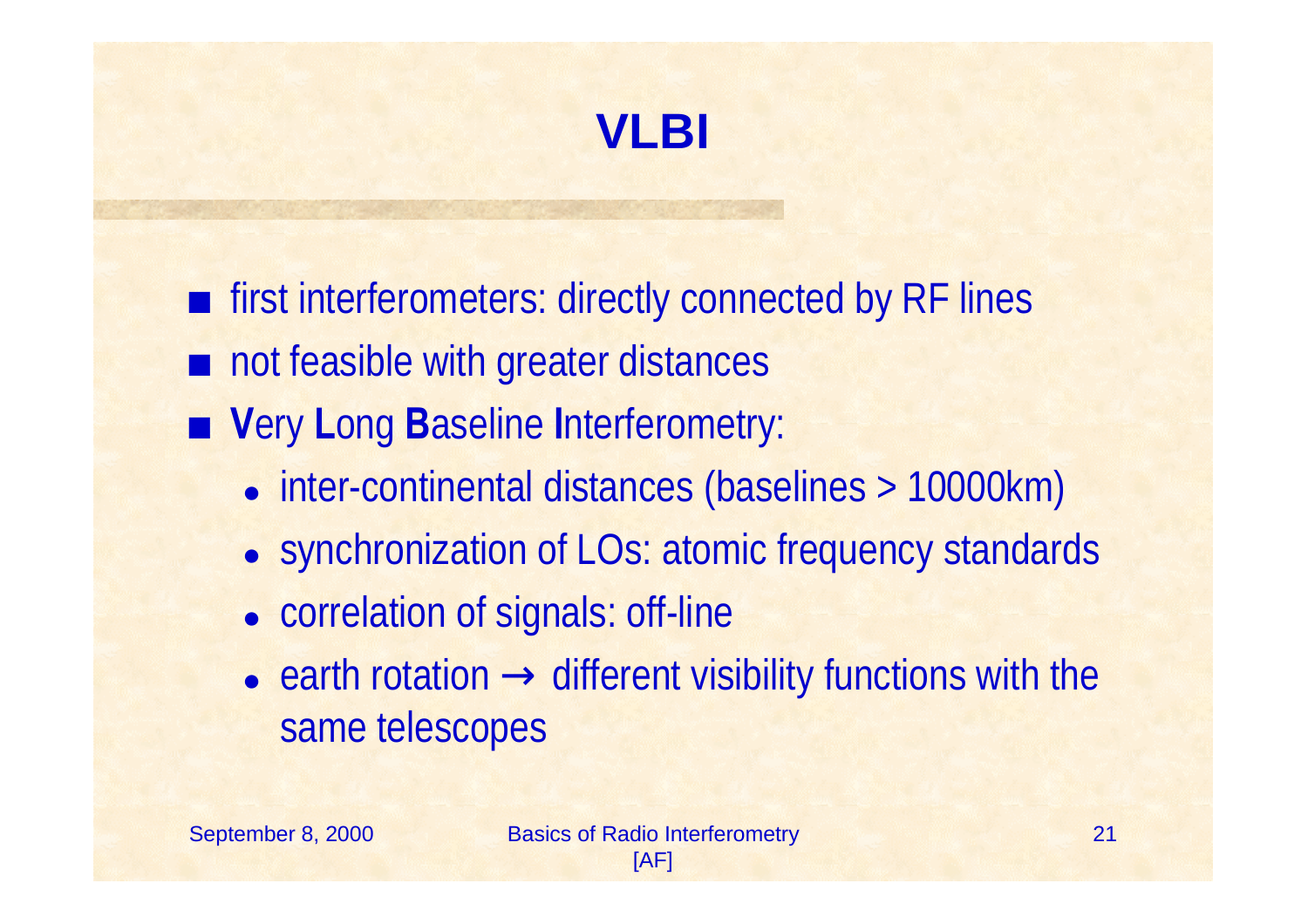

**Formular interferometers: directly connected by RF lines** 

- $\blacksquare$  not feasible with greater distances
- Very Long Baseline Interferometry:
	- inter-continental distances (baselines > 10000km)
	- synchronization of LOs: atomic frequency standards
	- correlation of signals: off-line
	- earth rotation  $\rightarrow$  different visibility functions with the same telescopes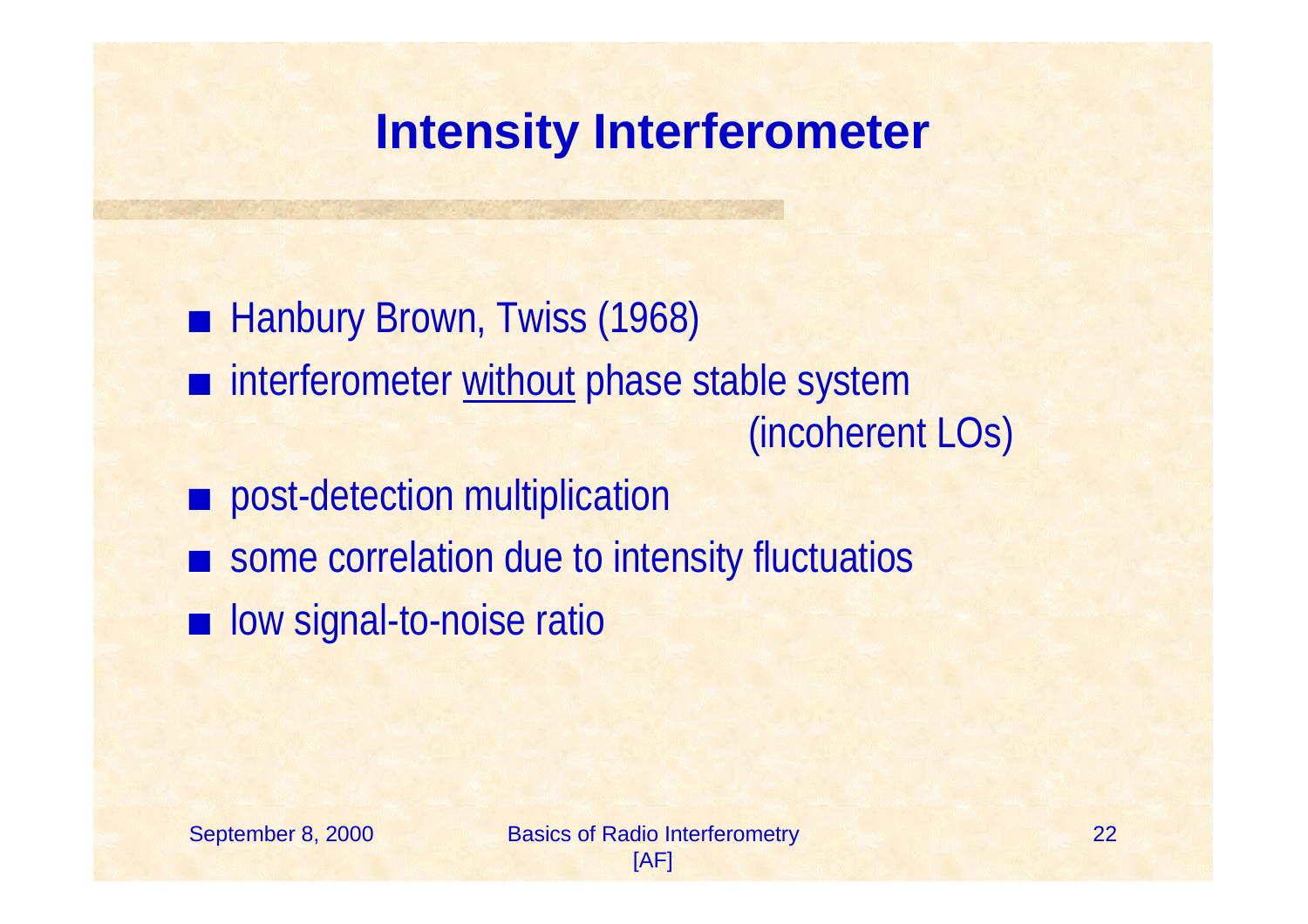#### **Intensity Interferometer**

■ Hanbury Brown, Twiss (1968)  $\blacksquare$  interferometer without phase stable system (incoherent LOs) post-detection multiplication some correlation due to intensity fluctuatios **u** low signal-to-noise ratio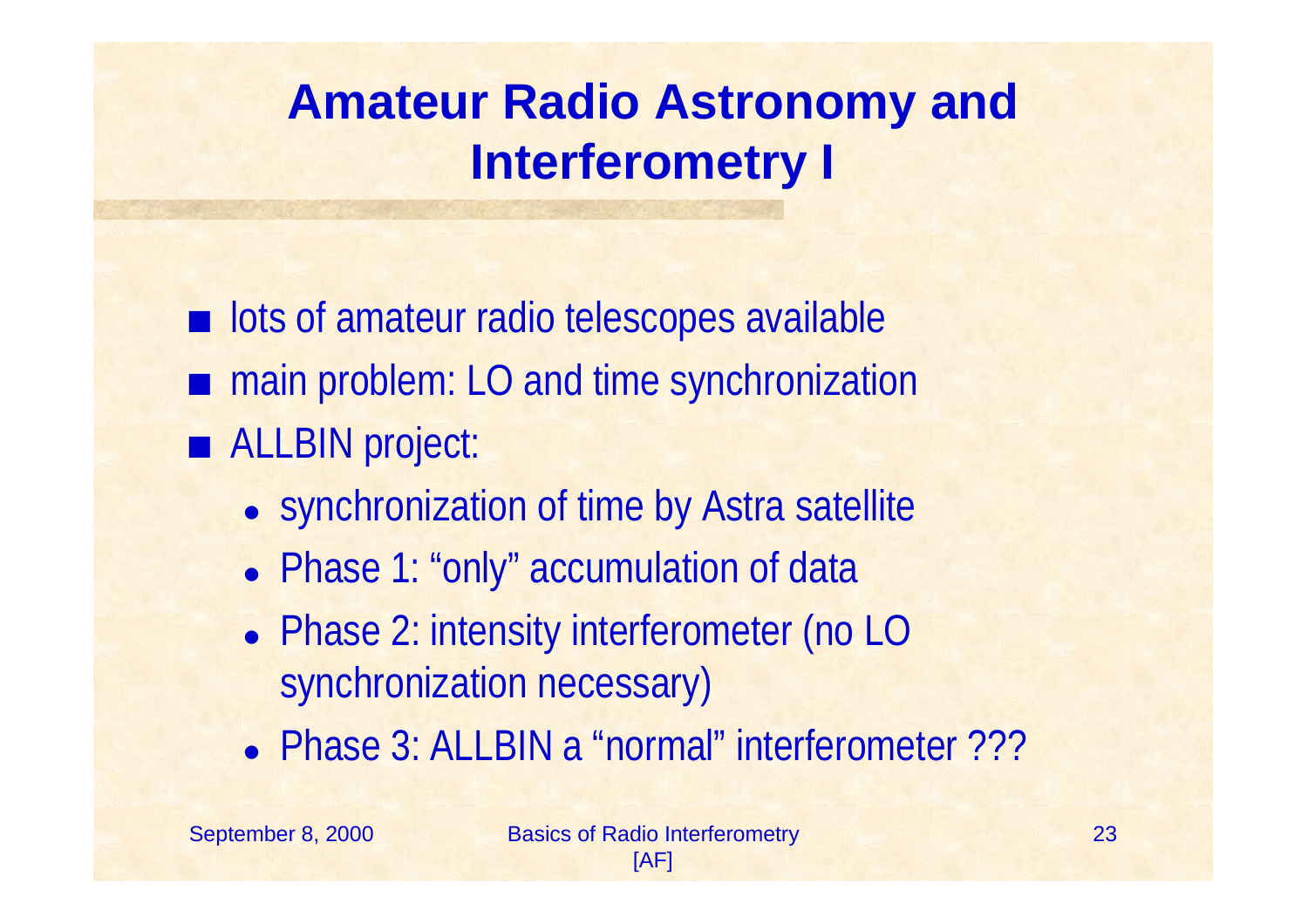# **Amateur Radio Astronomy and Interferometry I**

**u.** lots of amateur radio telescopes available main problem: LO and time synchronization ■ ALLBIN project:

- synchronization of time by Astra satellite
- Phase 1: "only" accumulation of data
- Phase 2: intensity interferometer (no LO synchronization necessary)
- Phase 3: ALLBIN a "normal" interferometer ???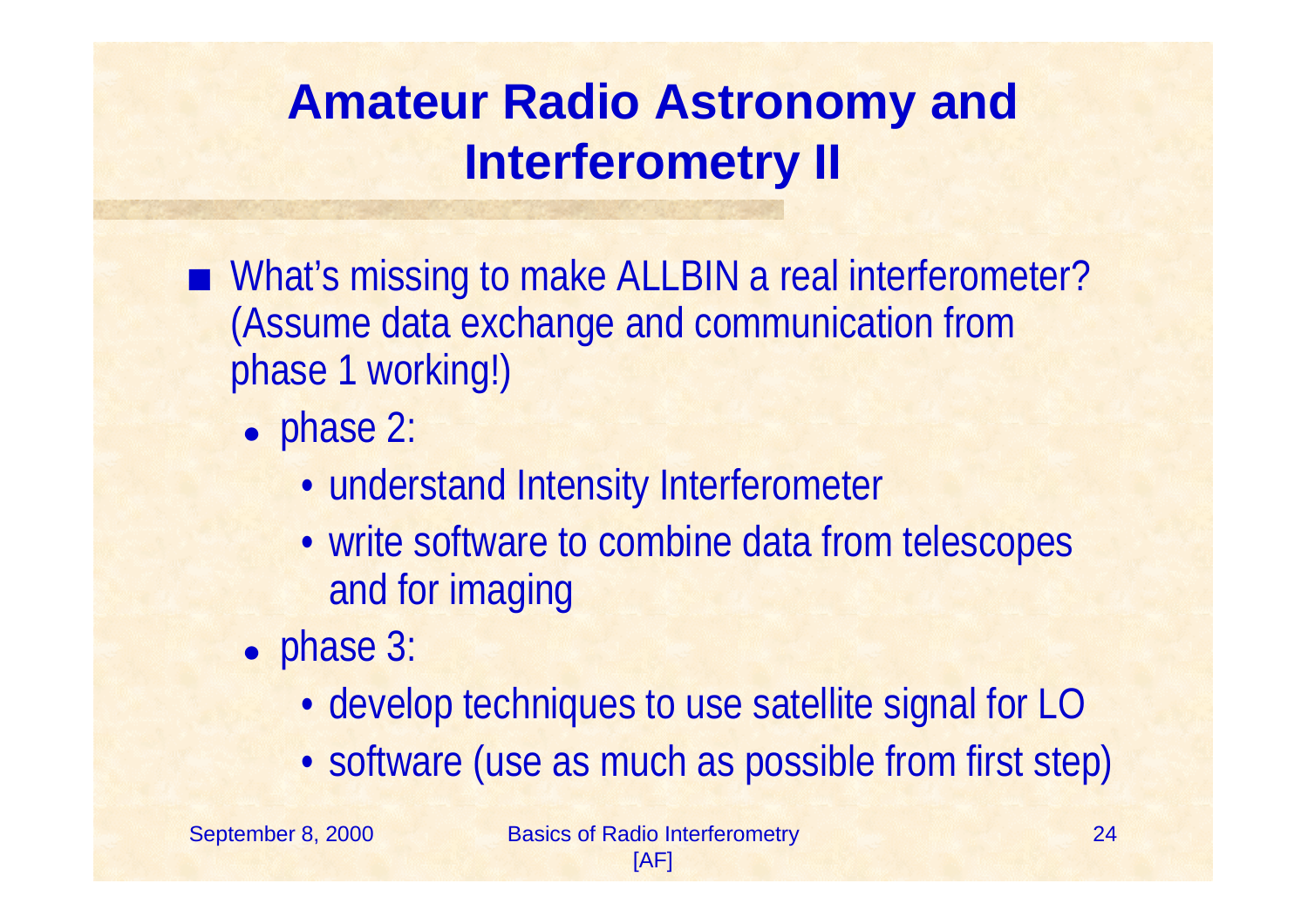# **Amateur Radio Astronomy and Interferometry II**

- What's missing to make ALLBIN a real interferometer? (Assume data exchange and communication from phase 1 working!)
	- phase 2:
		- understand Intensity Interferometer
		- write software to combine data from telescopes and for imaging
	- phase 3:
		- develop techniques to use satellite signal for LO
		- •software (use as much as possible from first step)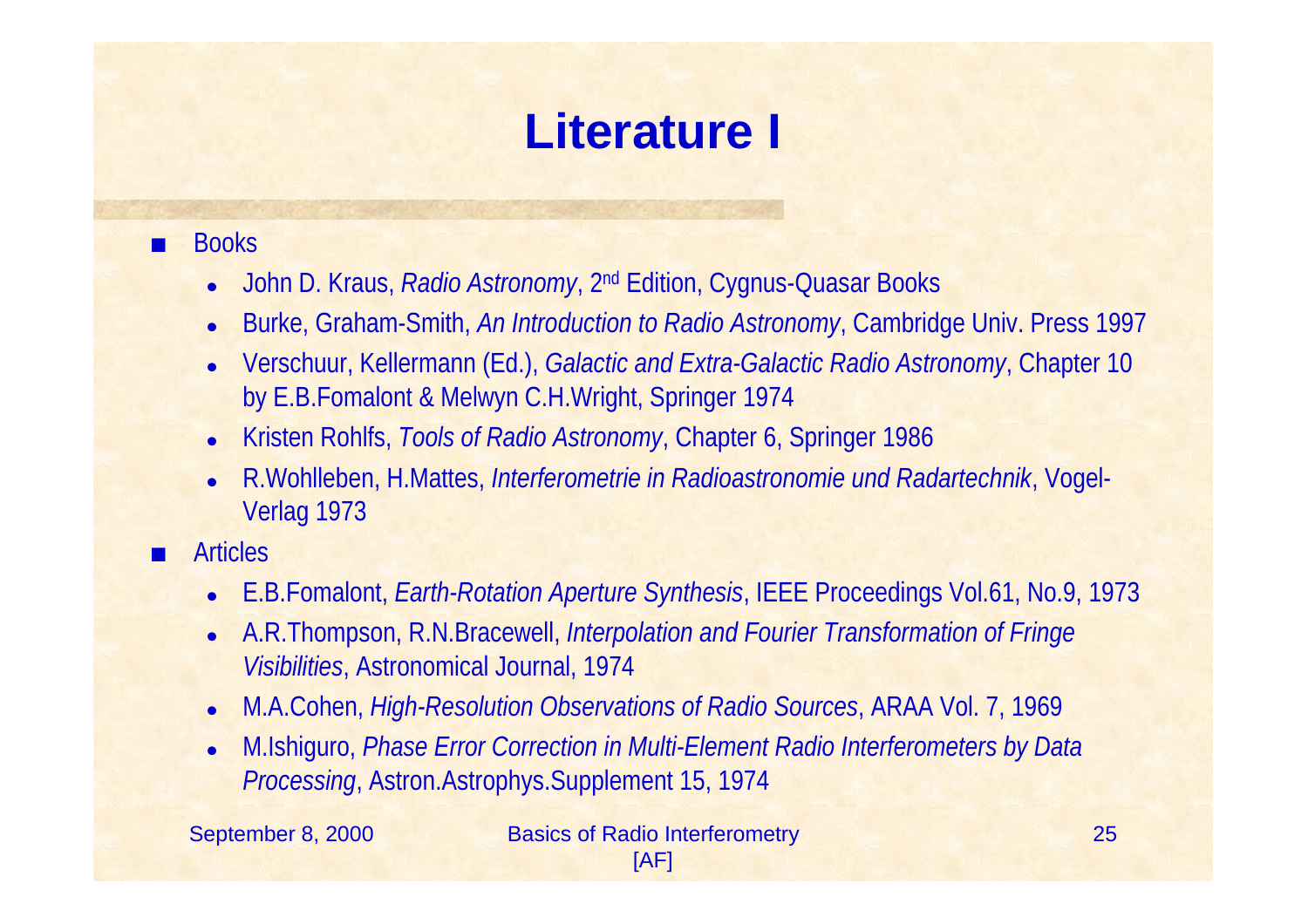# **Literature I**

#### **E** Books

- $\bullet$ John D. Kraus, *Radio Astronomy*, 2nd Edition, Cygnus-Quasar Books
- $\bullet$ Burke, Graham-Smith, *An Introduction to Radio Astronomy*, Cambridge Univ. Press 1997
- $\bullet$  Verschuur, Kellermann (Ed.), *Galactic and Extra-Galactic Radio Astronomy*, Chapter 10 by E.B.Fomalont & Melwyn C.H.Wright, Springer 1974
- $\bullet$ Kristen Rohlfs, *Tools of Radio Astronomy*, Chapter 6, Springer 1986
- $\bullet$  R.Wohlleben, H.Mattes, *Interferometrie in Radioastronomie und Radartechnik*, Vogel-Verlag 1973
- Articles
	- $\bullet$ E.B.Fomalont, *Earth-Rotation Aperture Synthesis*, IEEE Proceedings Vol.61, No.9, 1973
	- $\bullet$  A.R.Thompson, R.N.Bracewell, *Interpolation and Fourier Transformation of Fringe Visibilities*, Astronomical Journal, 1974
	- $\bullet$ M.A.Cohen, *High-Resolution Observations of Radio Sources*, ARAA Vol. 7, 1969
	- $\bullet$  M.Ishiguro, *Phase Error Correction in Multi-Element Radio Interferometers by Data Processing*, Astron.Astrophys.Supplement 15, 1974